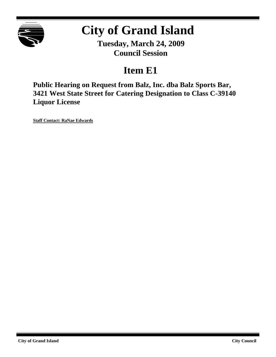

# **City of Grand Island**

**Tuesday, March 24, 2009 Council Session**

### **Item E1**

**Public Hearing on Request from Balz, Inc. dba Balz Sports Bar, 3421 West State Street for Catering Designation to Class C-39140 Liquor License**

**Staff Contact: RaNae Edwards**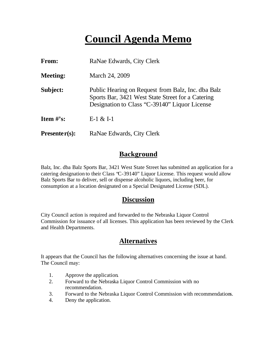## **Council Agenda Memo**

| From:           | RaNae Edwards, City Clerk                                                                                                                                |
|-----------------|----------------------------------------------------------------------------------------------------------------------------------------------------------|
| <b>Meeting:</b> | March 24, 2009                                                                                                                                           |
| Subject:        | Public Hearing on Request from Balz, Inc. dba Balz<br>Sports Bar, 3421 West State Street for a Catering<br>Designation to Class "C-39140" Liquor License |
| Item $#$ 's:    | $E-1 & 2E-1$                                                                                                                                             |
| $Presenter(s):$ | RaNae Edwards, City Clerk                                                                                                                                |

#### **Background**

Balz, Inc. dba Balz Sports Bar, 3421 West State Street has submitted an application for a catering designation to their Class "C-39140" Liquor License. This request would allow Balz Sports Bar to deliver, sell or dispense alcoholic liquors, including beer, for consumption at a location designated on a Special Designated License (SDL).

#### **Discussion**

City Council action is required and forwarded to the Nebraska Liquor Control Commission for issuance of all licenses. This application has been reviewed by the Clerk and Health Departments.

#### **Alternatives**

It appears that the Council has the following alternatives concerning the issue at hand. The Council may:

- 1. Approve the application.
- 2. Forward to the Nebraska Liquor Control Commission with no recommendation.
- 3. Forward to the Nebraska Liquor Control Commission with recommendations.
- 4. Deny the application.